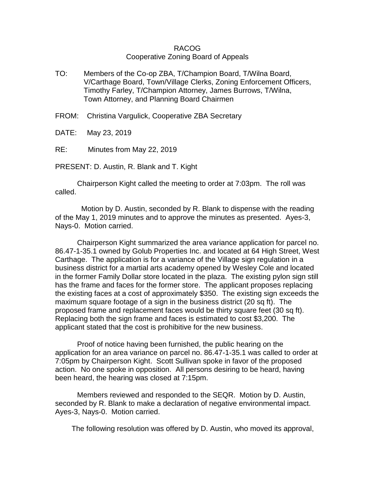## RACOG Cooperative Zoning Board of Appeals

- TO: Members of the Co-op ZBA, T/Champion Board, T/Wilna Board, V/Carthage Board, Town/Village Clerks, Zoning Enforcement Officers, Timothy Farley, T/Champion Attorney, James Burrows, T/Wilna, Town Attorney, and Planning Board Chairmen
- FROM: Christina Vargulick, Cooperative ZBA Secretary
- DATE: May 23, 2019
- RE: Minutes from May 22, 2019

PRESENT: D. Austin, R. Blank and T. Kight

 Chairperson Kight called the meeting to order at 7:03pm. The roll was called.

 Motion by D. Austin, seconded by R. Blank to dispense with the reading of the May 1, 2019 minutes and to approve the minutes as presented. Ayes-3, Nays-0. Motion carried.

Chairperson Kight summarized the area variance application for parcel no. 86.47-1-35.1 owned by Golub Properties Inc. and located at 64 High Street, West Carthage. The application is for a variance of the Village sign regulation in a business district for a martial arts academy opened by Wesley Cole and located in the former Family Dollar store located in the plaza. The existing pylon sign still has the frame and faces for the former store. The applicant proposes replacing the existing faces at a cost of approximately \$350. The existing sign exceeds the maximum square footage of a sign in the business district (20 sq ft). The proposed frame and replacement faces would be thirty square feet (30 sq ft). Replacing both the sign frame and faces is estimated to cost \$3,200. The applicant stated that the cost is prohibitive for the new business.

Proof of notice having been furnished, the public hearing on the application for an area variance on parcel no. 86.47-1-35.1 was called to order at 7:05pm by Chairperson Kight. Scott Sullivan spoke in favor of the proposed action. No one spoke in opposition. All persons desiring to be heard, having been heard, the hearing was closed at 7:15pm.

Members reviewed and responded to the SEQR. Motion by D. Austin, seconded by R. Blank to make a declaration of negative environmental impact. Ayes-3, Nays-0. Motion carried.

The following resolution was offered by D. Austin, who moved its approval,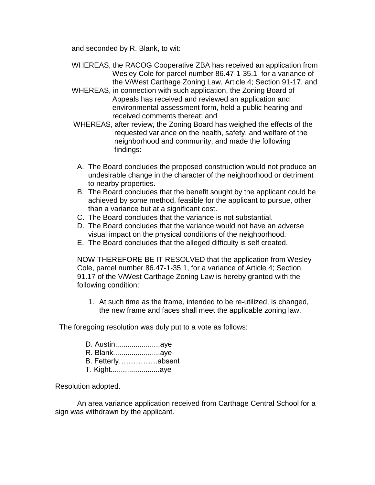and seconded by R. Blank, to wit:

- WHEREAS, the RACOG Cooperative ZBA has received an application from Wesley Cole for parcel number 86.47-1-35.1 for a variance of the V/West Carthage Zoning Law, Article 4; Section 91-17, and
- WHEREAS, in connection with such application, the Zoning Board of Appeals has received and reviewed an application and environmental assessment form, held a public hearing and received comments thereat; and
- WHEREAS, after review, the Zoning Board has weighed the effects of the requested variance on the health, safety, and welfare of the neighborhood and community, and made the following findings:
- A. The Board concludes the proposed construction would not produce an undesirable change in the character of the neighborhood or detriment to nearby properties.
- B. The Board concludes that the benefit sought by the applicant could be achieved by some method, feasible for the applicant to pursue, other than a variance but at a significant cost.
- C. The Board concludes that the variance is not substantial.
- D. The Board concludes that the variance would not have an adverse visual impact on the physical conditions of the neighborhood.
- E. The Board concludes that the alleged difficulty is self created.

NOW THEREFORE BE IT RESOLVED that the application from Wesley Cole, parcel number 86.47-1-35.1, for a variance of Article 4; Section 91.17 of the V/West Carthage Zoning Law is hereby granted with the following condition:

1. At such time as the frame, intended to be re-utilized, is changed, the new frame and faces shall meet the applicable zoning law.

The foregoing resolution was duly put to a vote as follows:

- R. Blank.......................aye
- B. Fetterly…………….absent
- T. Kight........................aye

Resolution adopted.

An area variance application received from Carthage Central School for a sign was withdrawn by the applicant.